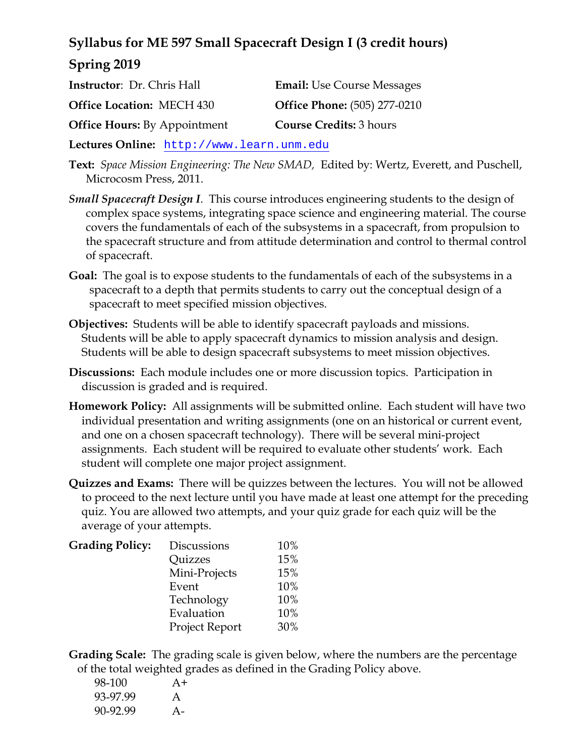# **Syllabus for ME 597 Small Spacecraft Design I (3 credit hours) Spring 2019**

| <b>Instructor:</b> Dr. Chris Hall   | <b>Email:</b> Use Course Messages   |
|-------------------------------------|-------------------------------------|
| <b>Office Location: MECH 430</b>    | <b>Office Phone:</b> (505) 277-0210 |
| <b>Office Hours:</b> By Appointment | <b>Course Credits: 3 hours</b>      |

**Lectures Online:** http://www.learn.unm.edu

**Text:** *Space Mission Engineering: The New SMAD,* Edited by: Wertz, Everett, and Puschell, Microcosm Press, 2011.

- *Small Spacecraft Design I*. This course introduces engineering students to the design of complex space systems, integrating space science and engineering material. The course covers the fundamentals of each of the subsystems in a spacecraft, from propulsion to the spacecraft structure and from attitude determination and control to thermal control of spacecraft.
- **Goal:** The goal is to expose students to the fundamentals of each of the subsystems in a spacecraft to a depth that permits students to carry out the conceptual design of a spacecraft to meet specified mission objectives.
- **Objectives:** Students will be able to identify spacecraft payloads and missions. Students will be able to apply spacecraft dynamics to mission analysis and design. Students will be able to design spacecraft subsystems to meet mission objectives.
- **Discussions:** Each module includes one or more discussion topics. Participation in discussion is graded and is required.
- **Homework Policy:** All assignments will be submitted online. Each student will have two individual presentation and writing assignments (one on an historical or current event, and one on a chosen spacecraft technology). There will be several mini-project assignments. Each student will be required to evaluate other students' work. Each student will complete one major project assignment.
- **Quizzes and Exams:** There will be quizzes between the lectures. You will not be allowed to proceed to the next lecture until you have made at least one attempt for the preceding quiz. You are allowed two attempts, and your quiz grade for each quiz will be the average of your attempts.

| <b>Grading Policy:</b> | Discussions    | 10% |
|------------------------|----------------|-----|
|                        | Quizzes        | 15% |
|                        | Mini-Projects  | 15% |
|                        | Event          | 10% |
|                        | Technology     | 10% |
|                        | Evaluation     | 10% |
|                        | Project Report | 30% |

**Grading Scale:** The grading scale is given below, where the numbers are the percentage of the total weighted grades as defined in the Grading Policy above.

| 98-100   | $A+$ |
|----------|------|
| 93-97.99 | A    |
| 90-92.99 | $A-$ |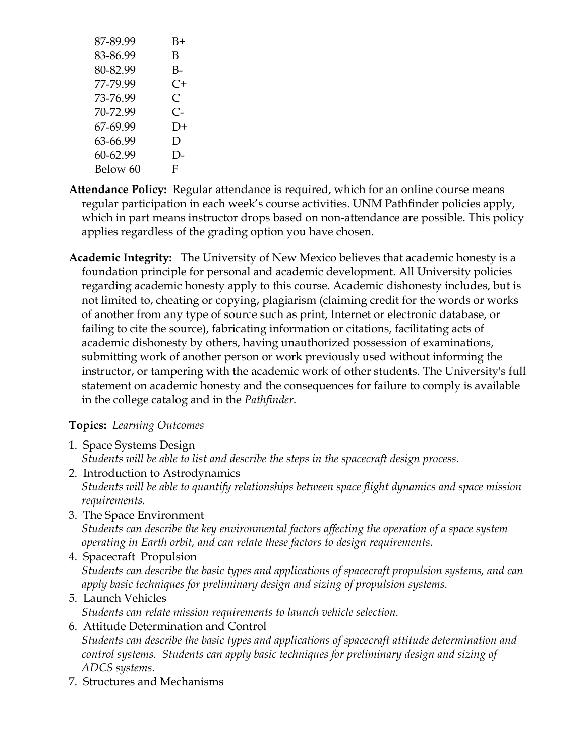| 87-89.99 | B+   |
|----------|------|
| 83-86.99 | B    |
| 80-82.99 | $B-$ |
| 77-79.99 | $C+$ |
| 73-76.99 | C    |
| 70-72.99 | C-   |
| 67-69.99 | D+   |
| 63-66.99 | D    |
| 60-62.99 | D-   |
| Below 60 | F    |

- **Attendance Policy:** Regular attendance is required, which for an online course means regular participation in each week's course activities. UNM Pathfinder policies apply, which in part means instructor drops based on non-attendance are possible. This policy applies regardless of the grading option you have chosen.
- **Academic Integrity:** The University of New Mexico believes that academic honesty is a foundation principle for personal and academic development. All University policies regarding academic honesty apply to this course. Academic dishonesty includes, but is not limited to, cheating or copying, plagiarism (claiming credit for the words or works of another from any type of source such as print, Internet or electronic database, or failing to cite the source), fabricating information or citations, facilitating acts of academic dishonesty by others, having unauthorized possession of examinations, submitting work of another person or work previously used without informing the instructor, or tampering with the academic work of other students. The University's full statement on academic honesty and the consequences for failure to comply is available in the college catalog and in the *Pathfinder*.

## **Topics:** *Learning Outcomes*

- 1. Space Systems Design *Students will be able to list and describe the steps in the spacecraft design process.*
- 2. Introduction to Astrodynamics *Students will be able to quantify relationships between space flight dynamics and space mission requirements.*
- 3. The Space Environment *Students can describe the key environmental factors affecting the operation of a space system operating in Earth orbit, and can relate these factors to design requirements.*
- 4. Spacecraft Propulsion *Students can describe the basic types and applications of spacecraft propulsion systems, and can apply basic techniques for preliminary design and sizing of propulsion systems.*
- 5. Launch Vehicles *Students can relate mission requirements to launch vehicle selection.*
- 6. Attitude Determination and Control *Students can describe the basic types and applications of spacecraft attitude determination and control systems. Students can apply basic techniques for preliminary design and sizing of ADCS systems.*
- 7. Structures and Mechanisms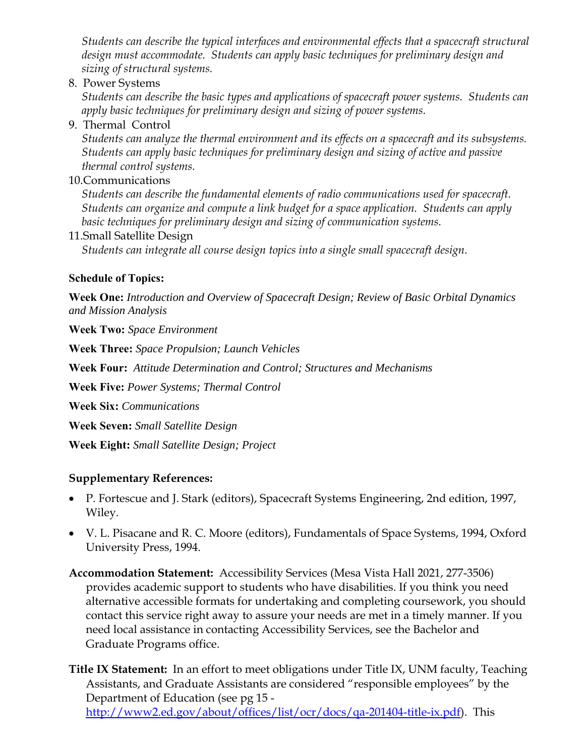*Students can describe the typical interfaces and environmental effects that a spacecraft structural design must accommodate. Students can apply basic techniques for preliminary design and sizing of structural systems.* 

## 8. Power Systems

*Students can describe the basic types and applications of spacecraft power systems. Students can apply basic techniques for preliminary design and sizing of power systems.* 

### 9. Thermal Control

*Students can analyze the thermal environment and its effects on a spacecraft and its subsystems. Students can apply basic techniques for preliminary design and sizing of active and passive thermal control systems.* 

#### 10.Communications

*Students can describe the fundamental elements of radio communications used for spacecraft. Students can organize and compute a link budget for a space application. Students can apply basic techniques for preliminary design and sizing of communication systems.* 

#### 11.Small Satellite Design

*Students can integrate all course design topics into a single small spacecraft design.* 

## **Schedule of Topics:**

**Week One:** *Introduction and Overview of Spacecraft Design; Review of Basic Orbital Dynamics and Mission Analysis* 

**Week Two:** *Space Environment* 

**Week Three:** *Space Propulsion; Launch Vehicles*

**Week Four:** *Attitude Determination and Control; Structures and Mechanisms* 

**Week Five:** *Power Systems; Thermal Control* 

**Week Six:** *Communications* 

**Week Seven:** *Small Satellite Design* 

**Week Eight:** *Small Satellite Design; Project* 

## **Supplementary References:**

- P. Fortescue and J. Stark (editors), Spacecraft Systems Engineering, 2nd edition, 1997, Wiley.
- V. L. Pisacane and R. C. Moore (editors), Fundamentals of Space Systems, 1994, Oxford University Press, 1994.
- **Accommodation Statement:** Accessibility Services (Mesa Vista Hall 2021, 277-3506) provides academic support to students who have disabilities. If you think you need alternative accessible formats for undertaking and completing coursework, you should contact this service right away to assure your needs are met in a timely manner. If you need local assistance in contacting Accessibility Services, see the Bachelor and Graduate Programs office.
- **Title IX Statement:** In an effort to meet obligations under Title IX, UNM faculty, Teaching Assistants, and Graduate Assistants are considered "responsible employees" by the Department of Education (see pg 15 http://www2.ed.gov/about/offices/list/ocr/docs/qa-201404-title-ix.pdf). This